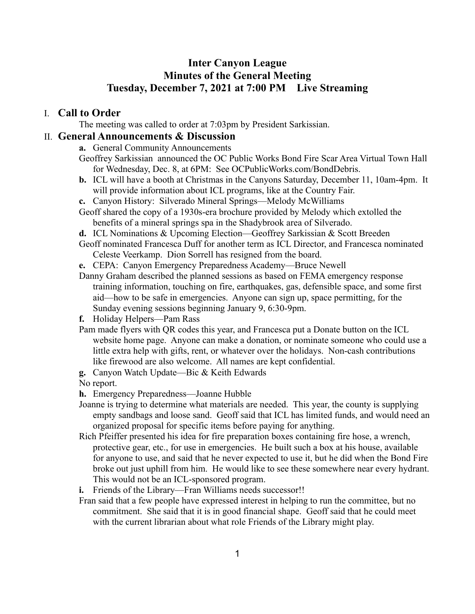# **Inter Canyon League Minutes of the General Meeting Tuesday, December 7, 2021 at 7:00 PM Live Streaming**

#### I. **Call to Order**

The meeting was called to order at 7:03pm by President Sarkissian.

#### II. **General Announcements & Discussion**

- **a.** General Community Announcements
- Geoffrey Sarkissian announced the OC Public Works Bond Fire Scar Area Virtual Town Hall for Wednesday, Dec. 8, at 6PM: See OCPublicWorks.com/BondDebris.
- **b.** ICL will have a booth at Christmas in the Canyons Saturday, December 11, 10am-4pm. It will provide information about ICL programs, like at the Country Fair.
- **c.** Canyon History: Silverado Mineral Springs—Melody McWilliams
- Geoff shared the copy of a 1930s-era brochure provided by Melody which extolled the benefits of a mineral springs spa in the Shadybrook area of Silverado.
- **d.** ICL Nominations & Upcoming Election—Geoffrey Sarkissian & Scott Breeden
- Geoff nominated Francesca Duff for another term as ICL Director, and Francesca nominated Celeste Veerkamp. Dion Sorrell has resigned from the board.
- **e.** CEPA: Canyon Emergency Preparedness Academy—Bruce Newell
- Danny Graham described the planned sessions as based on FEMA emergency response training information, touching on fire, earthquakes, gas, defensible space, and some first aid—how to be safe in emergencies. Anyone can sign up, space permitting, for the Sunday evening sessions beginning January 9, 6:30-9pm.
- **f.** Holiday Helpers—Pam Rass
- Pam made flyers with QR codes this year, and Francesca put a Donate button on the ICL website home page. Anyone can make a donation, or nominate someone who could use a little extra help with gifts, rent, or whatever over the holidays. Non-cash contributions like firewood are also welcome. All names are kept confidential.
- **g.** Canyon Watch Update—Bic & Keith Edwards
- No report.
- **h.** Emergency Preparedness—Joanne Hubble
- Joanne is trying to determine what materials are needed. This year, the county is supplying empty sandbags and loose sand. Geoff said that ICL has limited funds, and would need an organized proposal for specific items before paying for anything.
- Rich Pfeiffer presented his idea for fire preparation boxes containing fire hose, a wrench, protective gear, etc., for use in emergencies. He built such a box at his house, available for anyone to use, and said that he never expected to use it, but he did when the Bond Fire broke out just uphill from him. He would like to see these somewhere near every hydrant. This would not be an ICL-sponsored program.
- **i.** Friends of the Library—Fran Williams needs successor!!
- Fran said that a few people have expressed interest in helping to run the committee, but no commitment. She said that it is in good financial shape. Geoff said that he could meet with the current librarian about what role Friends of the Library might play.